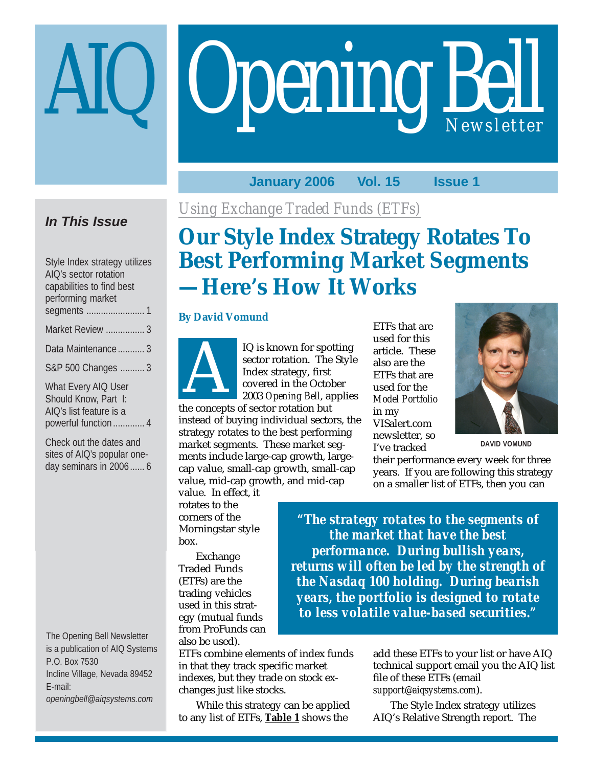# **Opening Bell**

### **January 2006 Vol. 15 Issue 1**

### **In This Issue**

| Style Index strategy utilizes<br>AIQ's sector rotation<br>capabilities to find best<br>performing market |
|----------------------------------------------------------------------------------------------------------|
| Market Review  3                                                                                         |
| Data Maintenance  3                                                                                      |
| S&P 500 Changes  3                                                                                       |
| What Every AIQ User<br>Should Know, Part I:<br>AIO's list feature is a                                   |

powerful function ............. 4

Check out the dates and sites of AIQ's popular oneday seminars in 2006...... 6

The Opening Bell Newsletter is a publication of AIQ Systems P.O. Box 7530 Incline Village, Nevada 89452 E-mail: *openingbell@aiqsystems.com*

*Using Exchange Traded Funds (ETFs)*

# **Our Style Index Strategy Rotates To Best Performing Market Segments —Here's How It Works**

### **By David Vomund**



IQ is known for spotting<br>sector rotation. The Style<br>Index strategy, first<br>covered in the October<br>2003 *Opening Bell*, applie<br>be concents of sector rotation but sector rotation. The Style Index strategy, first covered in the October 2003 *Opening Bell*, applies

the concepts of sector rotation but instead of buying individual sectors, the strategy rotates to the best performing market segments. These market segments include large-cap growth, largecap value, small-cap growth, small-cap value, mid-cap growth, and mid-cap

value. In effect, it rotates to the corners of the Morningstar style box.

Exchange Traded Funds (ETFs) are the trading vehicles used in this strategy (mutual funds from ProFunds can also be used).

ETFs combine elements of index funds in that they track specific market indexes, but they trade on stock exchanges just like stocks.

While this strategy can be applied to any list of ETFs, **Table 1** shows the

ETFs that are used for this article. These also are the ETFs that are used for the *Model Portfolio* in my VISalert.com newsletter, so I've tracked



**DAVID VOMUND**

their performance every week for three years. If you are following this strategy on a smaller list of ETFs, then you can

*"The strategy rotates to the segments of the market that have the best performance. During bullish years, returns will often be led by the strength of the Nasdaq 100 holding. During bearish years, the portfolio is designed to rotate to less volatile value-based securities."*

> add these ETFs to your list or have AIQ technical support email you the AIQ list file of these ETFs (email *support@aiqsystems.com*).

The Style Index strategy utilizes AIQ's Relative Strength report. The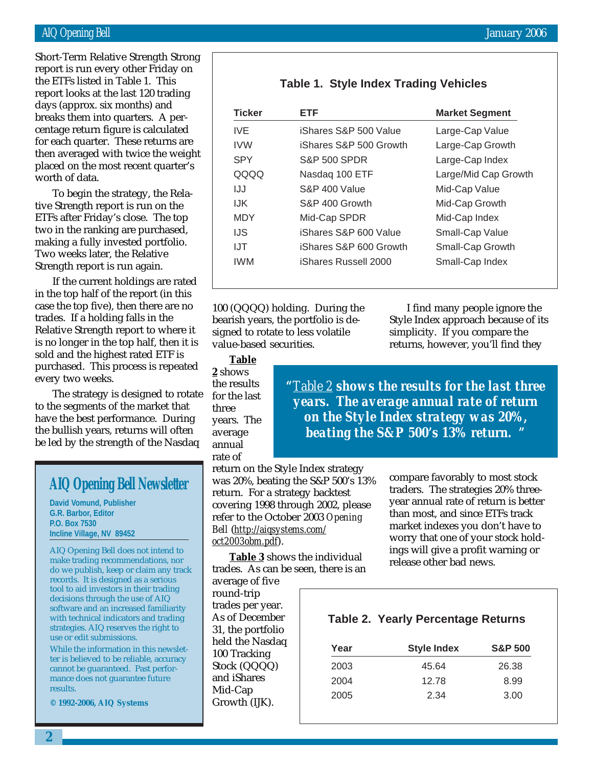report looks at the last 120 trading Short-Term Relative Strength Strong report is run every other Friday on the ETFs listed in Table 1. This days (approx. six months) and breaks them into quarters. A percentage return figure is calculated for each quarter. These returns are then averaged with twice the weight placed on the most recent quarter's worth of data.

To begin the strategy, the Relative Strength report is run on the ETFs after Friday's close. The top two in the ranking are purchased, making a fully invested portfolio. Two weeks later, the Relative Strength report is run again.

If the current holdings are rated in the top half of the report (in this case the top five), then there are no trades. If a holding falls in the Relative Strength report to where it is no longer in the top half, then it is sold and the highest rated ETF is purchased. This process is repeated every two weeks.

The strategy is designed to rotate to the segments of the market that have the best performance. During the bullish years, returns will often be led by the strength of the Nasdaq

### **AIQ Opening Bell Newsletter**

**David Vomund, Publisher G.R. Barbor, Editor P.O. Box 7530 Incline Village, NV 89452**

AIQ Opening Bell does not intend to make trading recommendations, nor do we publish, keep or claim any track records. It is designed as a serious tool to aid investors in their trading decisions through the use of AIQ software and an increased familiarity with technical indicators and trading strategies. AIQ reserves the right to use or edit submissions.

While the information in this newsletter is believed to be reliable, accuracy cannot be guaranteed. Past performance does not guarantee future results.

**© 1992-2006, AIQ Systems**

### **Table 1. Style Index Trading Vehicles**

| <b>Ticker</b> | ETF                     | <b>Market Segment</b> |
|---------------|-------------------------|-----------------------|
| IVF.          | iShares S&P 500 Value   | Large-Cap Value       |
| <b>IVW</b>    | iShares S&P 500 Growth  | Large-Cap Growth      |
| <b>SPY</b>    | <b>S&amp;P 500 SPDR</b> | Large-Cap Index       |
| QQQQ          | Nasdaq 100 ETF          | Large/Mid Cap Growth  |
| IJJ           | S&P 400 Value           | Mid-Cap Value         |
| IJK.          | S&P 400 Growth          | Mid-Cap Growth        |
| <b>MDY</b>    | Mid-Cap SPDR            | Mid-Cap Index         |
| IJS           | iShares S&P 600 Value   | Small-Cap Value       |
| IJT           | iShares S&P 600 Growth  | Small-Cap Growth      |
| <b>IWM</b>    | iShares Russell 2000    | Small-Cap Index       |
|               |                         |                       |

100 (QQQQ) holding. During the bearish years, the portfolio is designed to rotate to less volatile value-based securities.

I find many people ignore the Style Index approach because of its simplicity. If you compare the returns, however, you'll find they

**Table 2** shows the results for the last three years. The average annual rate of

*"Table 2 shows the results for the last three years. The average annual rate of return on the Style Index strategy was 20%, beating the S&P 500's 13% return. "*

return on the Style Index strategy was 20%, beating the S&P 500's 13% return. For a strategy backtest covering 1998 through 2002, please refer to the October 2003 *Opening Bell* (*http://aiqsystems.com/ oct2003obm.pdf*).

**Table 3** shows the individual trades. As can be seen, there is an

average of five round-trip trades per year. As of December 31, the portfolio held the Nasdaq 100 Tracking Stock (QQQQ) and iShares Mid-Cap Growth (IJK).

compare favorably to most stock traders. The strategies 20% threeyear annual rate of return is better than most, and since ETFs track market indexes you don't have to worry that one of your stock holdings will give a profit warning or release other bad news.

### **Table 2. Yearly Percentage Returns**

| <b>Style Index</b> | <b>S&amp;P 500</b> |
|--------------------|--------------------|
| 45.64              | 26.38              |
| 12.78              | 8.99               |
| 2.34               | 3.00               |
|                    |                    |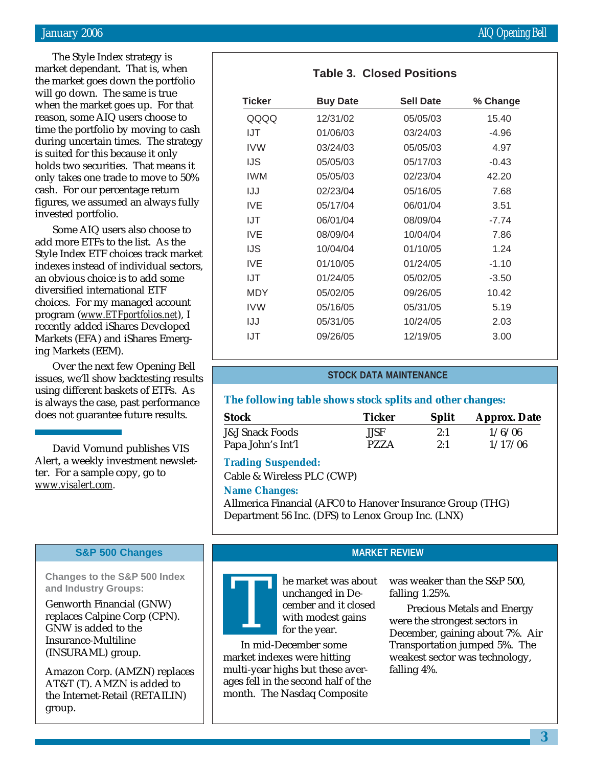The Style Index strategy is market dependant. That is, when the market goes down the portfolio will go down. The same is true when the market goes up. For that reason, some AIQ users choose to time the portfolio by moving to cash during uncertain times. The strategy is suited for this because it only holds two securities. That means it only takes one trade to move to 50% cash. For our percentage return figures, we assumed an always fully invested portfolio.

Some AIQ users also choose to add more ETFs to the list. As the Style Index ETF choices track market indexes instead of individual sectors, an obvious choice is to add some diversified international ETF choices. For my managed account program (*www.ETFportfolios.net*), I recently added iShares Developed Markets (EFA) and iShares Emerging Markets (EEM).

Over the next few Opening Bell issues, we'll show backtesting results using different baskets of ETFs. As is always the case, past performance does not guarantee future results.

David Vomund publishes VIS Alert, a weekly investment newsletter. For a sample copy, go to *www.visalert.com.*

### **S&P 500 Changes**

**Changes to the S&P 500 Index and Industry Groups:**

Genworth Financial (GNW) replaces Calpine Corp (CPN). GNW is added to the Insurance-Multiline (INSURAML) group.

Amazon Corp. (AMZN) replaces AT&T (T). AMZN is added to the Internet-Retail (RETAILIN) group.

| January 2006 | <b>AIQ Opening Bell</b> |
|--------------|-------------------------|
|--------------|-------------------------|

| <b>Ticker</b> | <b>Buy Date</b> | <b>Sell Date</b> | % Change |
|---------------|-----------------|------------------|----------|
| QQQQ          | 12/31/02        | 05/05/03         | 15.40    |
| IJT           | 01/06/03        | 03/24/03         | $-4.96$  |
| IVW           | 03/24/03        | 05/05/03         | 4.97     |
| IJS           | 05/05/03        | 05/17/03         | $-0.43$  |
| IWM.          | 05/05/03        | 02/23/04         | 42.20    |
| IJJ           | 02/23/04        | 05/16/05         | 7.68     |
| <b>IVE</b>    | 05/17/04        | 06/01/04         | 3.51     |
| IJT           | 06/01/04        | 08/09/04         | $-7.74$  |
| <b>IVE</b>    | 08/09/04        | 10/04/04         | 7.86     |
| IJS           | 10/04/04        | 01/10/05         | 1 24     |
| IVF           | 01/10/05        | 01/24/05         | $-1.10$  |
| IJT           | 01/24/05        | 05/02/05         | $-3.50$  |
| <b>MDY</b>    | 05/02/05        | 09/26/05         | 10.42    |
| IVW           | 05/16/05        | 05/31/05         | 5.19     |
| IJJ           | 05/31/05        | 10/24/05         | 2.03     |
| IJT           | 09/26/05        | 12/19/05         | 3.00     |

### **STOCK DATA MAINTENANCE**

### **The following table shows stock splits and other changes:**

| Stock                      | <b>Ticker</b> | <b>Split</b> | <b>Approx. Date</b> |
|----------------------------|---------------|--------------|---------------------|
| <b>J&amp;J Snack Foods</b> | <b>JJSF</b>   | 2:1          | 1/6/06              |
| Papa John's Int'l          | <b>PZZA</b>   | 2:1          | 1/17/06             |

### **Trading Suspended:**

Cable & Wireless PLC (CWP)

In mid-December some market indexes were hitting multi-year highs but these averages fell in the second half of the month. The Nasdaq Composite

### **Name Changes:**

Allmerica Financial (AFC0 to Hanover Insurance Group (THG) Department 56 Inc. (DFS) to Lenox Group Inc. (LNX)



### **MARKET REVIEW**

was weaker than the S&P 500, falling 1.25%.

Precious Metals and Energy were the strongest sectors in December, gaining about 7%. Air Transportation jumped 5%. The weakest sector was technology, falling 4%.

### **Table 3. Closed Positions**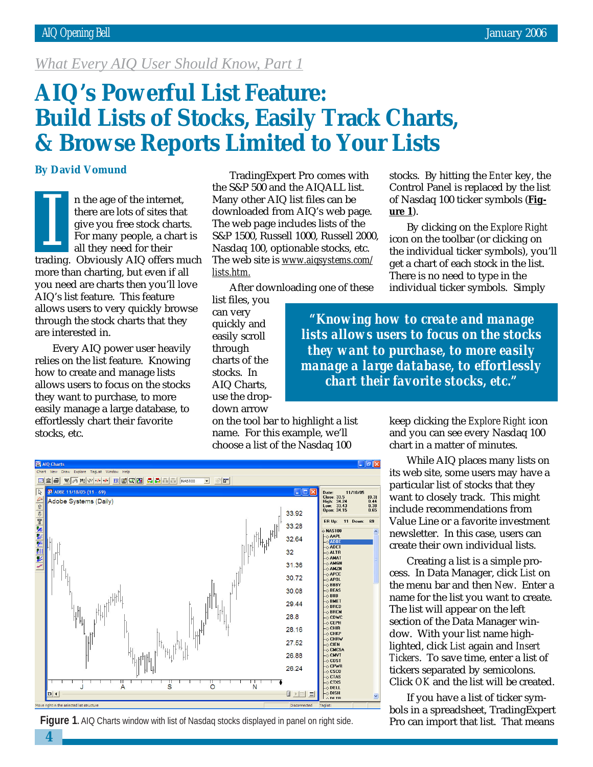### *What Every AIQ User Should Know, Part 1*

# **AIQ's Powerful List Feature: Build Lists of Stocks, Easily Track Charts, & Browse Reports Limited to Your Lists**

### **By David Vomund**

n the age of the internet, there are lots of sites that give you free stock charts. For many people, a chart is all they need for their If the age of the internet,<br>there are lots of sites that<br>give you free stock charts.<br>For many people, a chart is<br>all they need for their<br>trading. Obviously AIQ offers much more than charting, but even if all you need are charts then you'll love AIQ's list feature. This feature allows users to very quickly browse through the stock charts that they are interested in.

Every AIQ power user heavily relies on the list feature. Knowing how to create and manage lists allows users to focus on the stocks they want to purchase, to more easily manage a large database, to effortlessly chart their favorite stocks, etc.

**4**

TradingExpert Pro comes with the S&P 500 and the AIQALL list. Many other AIQ list files can be downloaded from AIQ's web page. The web page includes lists of the S&P 1500, Russell 1000, Russell 2000, Nasdaq 100, optionable stocks, etc. The web site is *www.aiqsystems.com/ lists.htm.*

After downloading one of these

list files, you can very quickly and easily scroll through charts of the stocks. In AIQ Charts, use the dropdown arrow

on the tool bar to highlight a list name. For this example, we'll choose a list of the Nasdaq 100

stocks. By hitting the *Enter* key, the Control Panel is replaced by the list of Nasdaq 100 ticker symbols (**Figure 1**).

By clicking on the *Explore Right* icon on the toolbar (or clicking on the individual ticker symbols), you'll get a chart of each stock in the list. There is no need to type in the individual ticker symbols. Simply

*"Knowing how to create and manage lists allows users to focus on the stocks they want to purchase, to more easily manage a large database, to effortlessly chart their favorite stocks, etc."*





keep clicking the *Explore Right* icon and you can see every Nasdaq 100 chart in a matter of minutes.

While AIQ places many lists on its web site, some users may have a particular list of stocks that they want to closely track. This might include recommendations from Value Line or a favorite investment newsletter. In this case, users can create their own individual lists.

Creating a list is a simple process. In Data Manager, click *List* on the menu bar and then *New*. Enter a name for the list you want to create. The list will appear on the left section of the Data Manager window. With your list name highlighted, click *List* again and *Insert Tickers*. To save time, enter a list of tickers separated by semicolons. Click *OK* and the list will be created.

If you have a list of ticker symbols in a spreadsheet, TradingExpert Pro can import that list. That means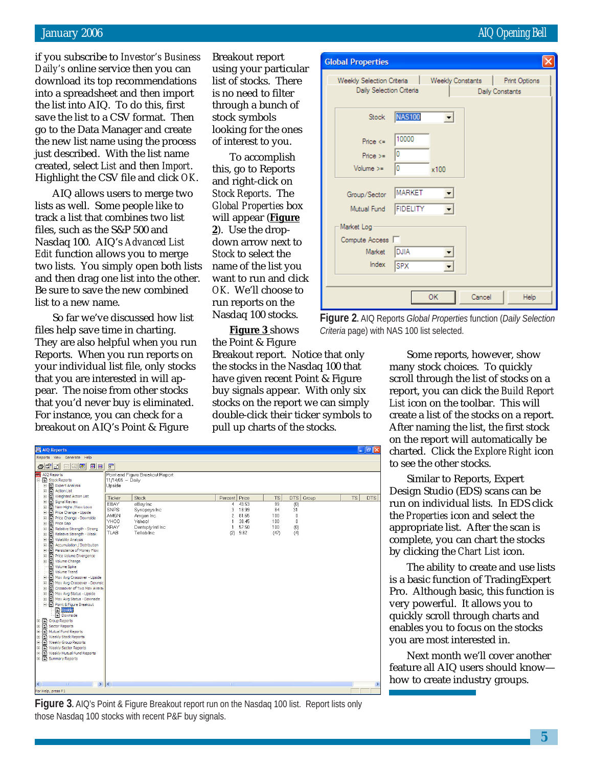January 2006 AIQ Opening Bell

if you subscribe to *Investor's Business Daily's* online service then you can download its top recommendations into a spreadsheet and then import the list into AIQ. To do this, first save the list to a CSV format. Then go to the Data Manager and create the new list name using the process just described. With the list name created, select *List* and then *Import*. Highlight the CSV file and click *OK*.

AIQ allows users to merge two lists as well. Some people like to track a list that combines two list files, such as the S&P 500 and Nasdaq 100. AIQ's *Advanced List Edit* function allows you to merge two lists. You simply open both lists and then drag one list into the other. Be sure to save the new combined list to a new name.

So far we've discussed how list files help save time in charting. They are also helpful when you run Reports. When you run reports on your individual list file, only stocks that you are interested in will appear. The noise from other stocks that you'd never buy is eliminated. For instance, you can check for a breakout on AIQ's Point & Figure

Breakout report using your particular list of stocks. There is no need to filter through a bunch of stock symbols looking for the ones of interest to you.

To accomplish this, go to Reports and right-click on *Stock Reports*. The *Global Properties* box will appear (**Figure 2**). Use the dropdown arrow next to *Stock* to select the name of the list you want to run and click *OK*. We'll choose to run reports on the Nasdaq 100 stocks.

**Figure 3** shows the Point & Figure

Breakout report. Notice that only the stocks in the Nasdaq 100 that have given recent Point & Figure buy signals appear. With only six stocks on the report we can simply double-click their ticker symbols to pull up charts of the stocks.

| AIQ Reports                                                                                                                                                                                                                                                                                                                                                                                                                                                                                                                                                                                                                                                                                                                                                                                                                                                       |                                                                                 |                                                                                      |                                      |                                                   |                                       |                                                     |       |           | $\Box$ e $\mathsf{X}$ |
|-------------------------------------------------------------------------------------------------------------------------------------------------------------------------------------------------------------------------------------------------------------------------------------------------------------------------------------------------------------------------------------------------------------------------------------------------------------------------------------------------------------------------------------------------------------------------------------------------------------------------------------------------------------------------------------------------------------------------------------------------------------------------------------------------------------------------------------------------------------------|---------------------------------------------------------------------------------|--------------------------------------------------------------------------------------|--------------------------------------|---------------------------------------------------|---------------------------------------|-----------------------------------------------------|-------|-----------|-----------------------|
| Reports View Generate Help                                                                                                                                                                                                                                                                                                                                                                                                                                                                                                                                                                                                                                                                                                                                                                                                                                        |                                                                                 |                                                                                      |                                      |                                                   |                                       |                                                     |       |           |                       |
| 666 daga 66                                                                                                                                                                                                                                                                                                                                                                                                                                                                                                                                                                                                                                                                                                                                                                                                                                                       | $\mathbb{F}$                                                                    |                                                                                      |                                      |                                                   |                                       |                                                     |       |           |                       |
| AIQ Reports<br>E-El Stock Reports<br>ET Expert Analysis<br>ŧ<br>$\ddot{}$<br>Action List<br>ŧ<br>Weighted Action List<br>ŧ<br>Signal Review                                                                                                                                                                                                                                                                                                                                                                                                                                                                                                                                                                                                                                                                                                                       | 11/14/05 - Daily<br>Upside<br>Ticker                                            | Point and Figure Breakout Report<br><b>Stock</b>                                     | Percent Price                        |                                                   | <b>TS</b>                             | <b>DTS</b>                                          | Group | <b>TS</b> | <b>DTS</b>            |
| New Highs / New Lows<br>÷<br>Price Change - Upside<br>Ė<br>Price Change - Downside<br>Ė<br>Ė<br>Price Gap<br>Relative Strength - Strong<br>Ė<br>Ė<br>Relative Strength - Weak<br>Ė<br>Volatility Analysis<br>Ė<br>Accumulation / Distribution<br>$\frac{1}{2}$<br>Persistence of Money Flow<br>ŧ<br>Price Volume Divergence<br>E Volume Change<br>Volume Spike<br>n<br>Volume Trend<br>Mov Avg Crossover - Upside<br>÷<br>Ė<br>Mov Avg Crossover - Downsic<br>Crossover of Two Mov Avera<br>审<br>Ė<br>Mov Avg Status - Upside<br>E Mov Avg Status - Downside<br>Point & Figure Breakout<br>D <sub>Upside</sub><br>Downside<br>E Group Reports<br><b>E</b> Sector Reports<br>F Mutual Fund Reports<br><b>E</b> Weekly Stock Reports<br><b>E</b> Weekly Group Reports<br><b>E</b> Weekly Sector Reports<br><b>E</b> Weekly Mutual Fund Reports<br>E Summary Reports | <b>EBAY</b><br><b>SNPS</b><br><b>AMGN</b><br>YHOO<br><b>XRAY</b><br><b>TLAB</b> | eBay Inc<br>Synopsys Inc.<br>Amgen Inc<br>Yahoo!<br>Dentsply Intl Inc<br>Tellab Inc. | $\overline{4}$<br>3<br>2<br>1<br>(2) | 43.53<br>18.99<br>81.65<br>38.45<br>57.50<br>9.82 | 99<br>84<br>100<br>100<br>100<br>(47) | (0)<br>31<br>$\bf{0}$<br>$\mathbf{0}$<br>(0)<br>(4) |       |           |                       |
| $\rightarrow$<br>$\blacktriangleleft$<br>For Help, press F1                                                                                                                                                                                                                                                                                                                                                                                                                                                                                                                                                                                                                                                                                                                                                                                                       | ∣∢                                                                              |                                                                                      | mm                                   |                                                   |                                       |                                                     |       |           | ٠                     |

**Figure 3.** AIQ's Point & Figure Breakout report run on the Nasdag 100 list. Report lists only those Nasdaq 100 stocks with recent P&F buy signals.

| <b>Global Properties</b>                              |                                  |                     |        |                                  |
|-------------------------------------------------------|----------------------------------|---------------------|--------|----------------------------------|
| Weekly Selection Criteria<br>Daily Selection Criteria |                                  | Weekly Constants    |        | Print Options<br>Daily Constants |
| Stock                                                 | <b>NAS100</b>                    | $\vert \cdot \vert$ |        |                                  |
| Price $\lt$<br>$Price >=$<br>$Volume > =$             | 10000<br>0<br>0                  | x100                |        |                                  |
| Group/Sector<br>Mutual Fund                           | <b>MARKET</b><br><b>FIDELITY</b> |                     |        |                                  |
| Market Log<br>Compute Access                          |                                  |                     |        |                                  |
| Market<br>Index                                       | <b>DJIA</b><br><b>SPX</b>        |                     |        |                                  |
|                                                       |                                  | OK                  | Cancel | <b>Help</b>                      |

**Figure 2.** AIQ Reports *Global Properties* function (*Daily Selection Criteria* page) with NAS 100 list selected.

Some reports, however, show many stock choices. To quickly scroll through the list of stocks on a report, you can click the *Build Report List* icon on the toolbar. This will create a list of the stocks on a report. After naming the list, the first stock on the report will automatically be charted. Click the *Explore Right* icon to see the other stocks.

Similar to Reports, Expert Design Studio (EDS) scans can be run on individual lists. In EDS click the *Properties* icon and select the appropriate list. After the scan is complete, you can chart the stocks by clicking the *Chart List* icon.

The ability to create and use lists is a basic function of TradingExpert Pro. Although basic, this function is very powerful. It allows you to quickly scroll through charts and enables you to focus on the stocks you are most interested in.

Next month we'll cover another feature all AIQ users should know how to create industry groups.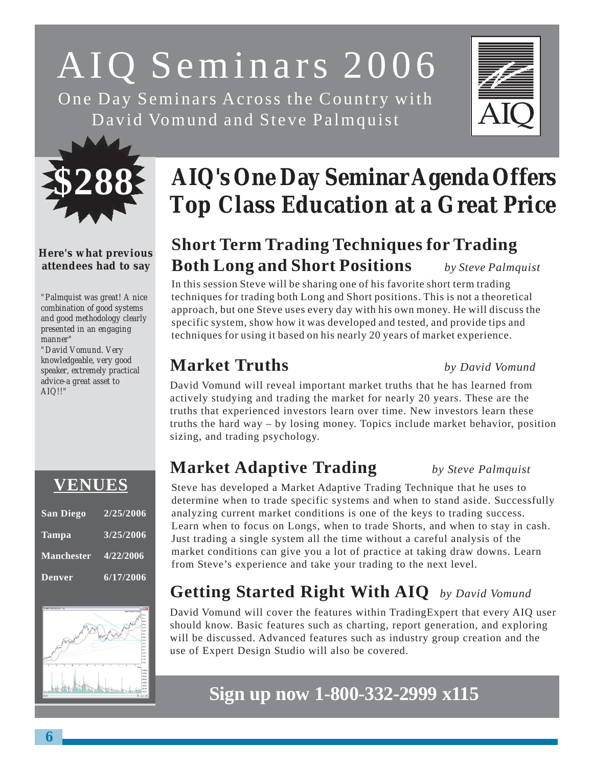# AIQ Seminars 2006

One Day Seminars Across the Country with David Vomund and Steve Palmquist





### **Here's what previous attendees had to say**

*"Palmquist was great! A nice combination of good systems and good methodology clearly presented in an engaging manner"*

*"David Vomund. Very knowledgeable, very good speaker, extremely practical advice-a great asset to AIQ!!"*

# **VENUES**

| <b>San Diego</b>  | 2/25/2006              |
|-------------------|------------------------|
| <b>Tampa</b>      | $3/25/\overline{2006}$ |
| <b>Manchester</b> | 4/22/2006              |
| <b>Denver</b>     | 6/17/2006              |



# **AIQ's One Day Seminar Agenda Offers Top Class Education at a Great Price**

# **Short Term Trading Techniques for Trading Both Long and Short Positions** *by Steve Palmquist*

In this session Steve will be sharing one of his favorite short term trading techniques for trading both Long and Short positions. This is not a theoretical approach, but one Steve uses every day with his own money. He will discuss the specific system, show how it was developed and tested, and provide tips and techniques for using it based on his nearly 20 years of market experience.

# **Market Truths** *by David Vomund*

David Vomund will reveal important market truths that he has learned from actively studying and trading the market for nearly 20 years. These are the truths that experienced investors learn over time. New investors learn these truths the hard way – by losing money. Topics include market behavior, position sizing, and trading psychology.

### **Market Adaptive Trading** *by Steve Palmquist*

Steve has developed a Market Adaptive Trading Technique that he uses to determine when to trade specific systems and when to stand aside. Successfully analyzing current market conditions is one of the keys to trading success. Learn when to focus on Longs, when to trade Shorts, and when to stay in cash. Just trading a single system all the time without a careful analysis of the market conditions can give you a lot of practice at taking draw downs. Learn from Steve's experience and take your trading to the next level.

# **Getting Started Right With AIQ** *by David Vomund*

David Vomund will cover the features within TradingExpert that every AIQ user should know. Basic features such as charting, report generation, and exploring will be discussed. Advanced features such as industry group creation and the use of Expert Design Studio will also be covered.

# **Sign up now 1-800-332-2999 x115**